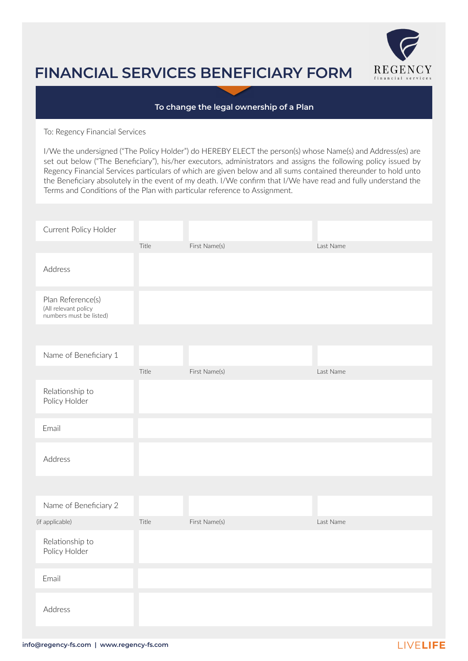

## **FINANCIAL SERVICES BENEFICIARY FORM**

## **To change the legal ownership of a Plan**

To: Regency Financial Services

I/We the undersigned ("The Policy Holder") do HEREBY ELECT the person(s) whose Name(s) and Address(es) are set out below ("The Beneficiary"), his/her executors, administrators and assigns the following policy issued by Regency Financial Services particulars of which are given below and all sums contained thereunder to hold unto the Beneficiary absolutely in the event of my death. I/We confirm that I/We have read and fully understand the Terms and Conditions of the Plan with particular reference to Assignment.

| Current Policy Holder                                                |       |               |           |
|----------------------------------------------------------------------|-------|---------------|-----------|
|                                                                      | Title | First Name(s) | Last Name |
| Address                                                              |       |               |           |
| Plan Reference(s)<br>(All relevant policy<br>numbers must be listed) |       |               |           |
|                                                                      |       |               |           |
| Name of Beneficiary 1                                                |       |               |           |
|                                                                      | Title | First Name(s) | Last Name |
| Relationship to<br>Policy Holder                                     |       |               |           |
| Email                                                                |       |               |           |
| Address                                                              |       |               |           |
|                                                                      |       |               |           |
| Name of Beneficiary 2                                                |       |               |           |
| (if applicable)                                                      | Title | First Name(s) | Last Name |
| Relationship to<br>Policy Holder                                     |       |               |           |
| Email                                                                |       |               |           |
| Address                                                              |       |               |           |